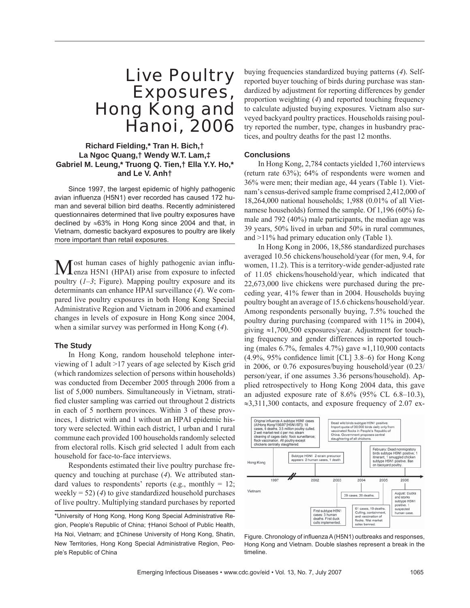# Live Poultry Exposures, Hong Kong and Hanoi, 2006

# **Richard Fielding,\* Tran H. Bich,† La Ngoc Quang,† Wendy W.T. Lam,‡ Gabriel M. Leung,\* Truong Q. Tien,† Ella Y.Y. Ho,\* and Le V. Anh†**

Since 1997, the largest epidemic of highly pathogenic avian influenza (H5N1) ever recorded has caused 172 human and several billion bird deaths. Recently administered questionnaires determined that live poultry exposures have declined by ≈63% in Hong Kong since 2004 and that, in Vietnam, domestic backyard exposures to poultry are likely more important than retail exposures.

Most human cases of highly pathogenic avian influ-<br>enza H5N1 (HPAI) arise from exposure to infected poultry (*1–3*; Figure). Mapping poultry exposure and its determinants can enhance HPAI surveillance (*4*). We compared live poultry exposures in both Hong Kong Special Administrative Region and Vietnam in 2006 and examined changes in levels of exposure in Hong Kong since 2004, when a similar survey was performed in Hong Kong (*4*).

### **The Study**

In Hong Kong, random household telephone interviewing of 1 adult >17 years of age selected by Kisch grid (which randomizes selection of persons within households) was conducted from December 2005 through 2006 from a list of 5,000 numbers. Simultaneously in Vietnam, stratified cluster sampling was carried out throughout 2 districts in each of 5 northern provinces. Within 3 of these provinces, 1 district with and 1 without an HPAI epidemic history were selected. Within each district, 1 urban and 1 rural commune each provided 100 households randomly selected from electoral rolls. Kisch grid selected 1 adult from each household for face-to-face interviews.

Respondents estimated their live poultry purchase frequency and touching at purchase (*4*). We attributed standard values to respondents' reports (e.g., monthly  $= 12$ ; weekly = 52) (*4*) to give standardized household purchases of live poultry. Multiplying standard purchases by reported buying frequencies standardized buying patterns (*4*). Selfreported buyer touching of birds during purchase was standardized by adjustment for reporting differences by gender proportion weighting (*4*) and reported touching frequency to calculate adjusted buying exposures. Vietnam also surveyed backyard poultry practices. Households raising poultry reported the number, type, changes in husbandry practices, and poultry deaths for the past 12 months.

#### **Conclusions**

In Hong Kong, 2,784 contacts yielded 1,760 interviews (return rate 63%); 64% of respondents were women and 36% were men; their median age, 44 years (Table 1). Vietnam's census-derived sample frame comprised 2,412,000 of 18,264,000 national households; 1,988 (0.01% of all Vietnamese households) formed the sample. Of 1,196 (60%) female and 792 (40%) male participants, the median age was 39 years, 50% lived in urban and 50% in rural communes, and >11% had primary education only (Table 1).

In Hong Kong in 2006, 18,586 standardized purchases averaged 10.56 chickens/household/year (for men, 9.4, for women, 11.2). This is a territory-wide gender-adjusted rate of 11.05 chickens/household/year, which indicated that 22,673,000 live chickens were purchased during the preceding year, 41% fewer than in 2004. Households buying poultry bought an average of 15.6 chickens/household/year. Among respondents personally buying, 7.5% touched the poultry during purchasing (compared with 11% in 2004), giving ≈1,700,500 exposures/year. Adjustment for touching frequency and gender differences in reported touching (males 6.7%, females 4.7%) gave ≈1,110,900 contacts  $(4.9\%, 95\%$  confidence limit [CL] 3.8–6) for Hong Kong in 2006, or 0.76 exposures/buying household/year (0.23/ person/year, if one assumes 3.36 persons/household). Applied retrospectively to Hong Kong 2004 data, this gave an adjusted exposure rate of  $8.6\%$  (95% CL 6.8–10.3),  $\approx$ 3,311,300 contacts, and exposure frequency of 2.07 ex-



Figure. Chronology of influenza A (H5N1) outbreaks and responses, Hong Kong and Vietnam. Double slashes represent a break in the timeline.

<sup>\*</sup>University of Hong Kong, Hong Kong Special Administrative Region, People's Republic of China; †Hanoi School of Public Health, Ha Noi, Vietnam; and ‡Chinese University of Hong Kong, Shatin, New Territories, Hong Kong Special Administrative Region, People's Republic of China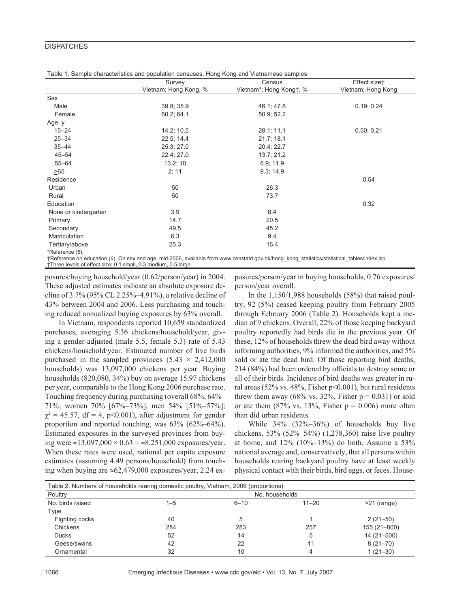## **DISPATCHES**

|                      | Survey                | Census                  | Effect size‡       |
|----------------------|-----------------------|-------------------------|--------------------|
|                      | Vietnam; Hong Kong, % | Vietnam*; Hong Kong†, % | Vietnam; Hong Kong |
| Sex                  |                       |                         |                    |
| Male                 | 39.8; 35.9            | 46.1; 47.8              | 0.19; 0.24         |
| Female               | 60.2; 64.1            | 50.9; 52.2              |                    |
| Age, y               |                       |                         |                    |
| $15 - 24$            | 14.2; 10.5            | 28.1; 11.1              | 0.50; 0.21         |
| $25 - 34$            | 22.5; 14.4            | 21.7; 18.1              |                    |
| $35 - 44$            | 25.3; 27.0            | 20.4; 22.7              |                    |
| $45 - 54$            | 22.4; 27.0            | 13.7; 21.2              |                    |
| $55 - 64$            | 13.2; 10              | 6.9; 11.9               |                    |
| >65                  | 2; 11                 | 9.3; 14.9               |                    |
| Residence            |                       |                         | 0.54               |
| Urban                | 50                    | 26.3                    |                    |
| Rural                | 50                    | 73.7                    |                    |
| Education            |                       |                         | 0.32               |
| None or kindergarten | 3.9                   | 8.4                     |                    |
| Primary              | 14.7                  | 20.5                    |                    |
| Secondary            | 49.5                  | 45.2                    |                    |
| Matriculation        | 6.3                   | 9.4                     |                    |
| Tertiary/above       | 25.3                  | 16.4                    |                    |

Table 1. Sample characteristics and population censuses, Hong Kong and Vietnamese samples

\*Reference (*5*).

†Reference on education (*6*). On sex and age, mid-2006, available from www.censtatd.gov.hk/hong\_kong\_statistics/statistical\_tables/index.jsp ‡Three levels of effect size: 0.1 small, 0.3 medium, 0.5 large.

posures/buying household/year (0.62/person/year) in 2004. These adjusted estimates indicate an absolute exposure decline of 3.7% (95% CL 2.25%–4.91%), a relative decline of 43% between 2004 and 2006. Less purchasing and touching reduced annualized buying exposures by 63% overall.

In Vietnam, respondents reported 10,659 standardized purchases, averaging 5.36 chickens/household/year, giving a gender-adjusted (male 5.5, female 5.3) rate of 5.43 chickens/household/year. Estimated number of live birds purchased in the sampled provinces  $(5.43 \times 2,412,000)$ households) was 13,097,000 chickens per year. Buying households (820,080, 34%) buy on average 15.97 chickens per year, comparable to the Hong Kong 2006 purchase rate. Touching frequency during purchasing (overall 68%, 64%– 71%; women 70% [67%–73%], men 54% [51%–57%];  $\chi^2$  = 45.57, df = 4, p<0.001), after adjustment for gender proportion and reported touching, was 63% (62%–64%). Estimated exposures in the surveyed provinces from buying were ≈13,097,000 × 0.63 = ≈8,251,000 exposures/year. When these rates were used, national per capita exposure estimates (assuming 4.49 persons/household) from touching when buying are  $\approx 62,479,000$  exposures/year, 2.24 ex-

posures/person/year in buying households, 0.76 exposures/ person/year overall.

In the 1,150/1,988 households (58%) that raised poultry, 92 (5%) ceased keeping poultry from February 2005 through February 2006 (Table 2). Households kept a median of 9 chickens. Overall, 22% of those keeping backyard poultry reportedly had birds die in the previous year. Of these, 12% of households threw the dead bird away without informing authorities, 9% informed the authorities, and 5% sold or ate the dead bird. Of those reporting bird deaths, 214 (84%) had been ordered by officials to destroy some or all of their birds. Incidence of bird deaths was greater in rural areas (52% vs. 48%, Fisher p<0.001), but rural residents threw them away (68% vs. 32%, Fisher  $p = 0.031$ ) or sold or ate them  $(87\% \text{ vs. } 13\%, \text{ Fisher p} = 0.006)$  more often than did urban residents.

While 34% (32%–36%) of households buy live chickens, 53% (52%–54%) (1,278,360) raise live poultry at home, and  $12\%$  ( $10\%$ - $13\%$ ) do both. Assume a 53% national average and, conservatively, that all persons within households rearing backyard poultry have at least weekly physical contact with their birds, bird eggs, or feces. House-

| Table 2. Numbers of households rearing domestic poultry, Vietnam, 2006 (proportions) |                |          |           |                   |  |  |  |
|--------------------------------------------------------------------------------------|----------------|----------|-----------|-------------------|--|--|--|
| Poultry                                                                              | No. households |          |           |                   |  |  |  |
| No. birds raised                                                                     | $1 - 5$        | $6 - 10$ | $11 - 20$ | $\geq$ 21 (range) |  |  |  |
| Type                                                                                 |                |          |           |                   |  |  |  |
| Fighting cocks                                                                       | 40             | 5        |           | $2(21-50)$        |  |  |  |
| Chickens                                                                             | 284            | 283      | 257       | 155 (21-800)      |  |  |  |
| <b>Ducks</b>                                                                         | 52             | 14       | 5         | 14 (21-500)       |  |  |  |
| Geese/swans                                                                          | 42             | 22       | 11        | $8(21 - 70)$      |  |  |  |
| Ornamental                                                                           | 32             | 10       | 4         | $1(21-30)$        |  |  |  |